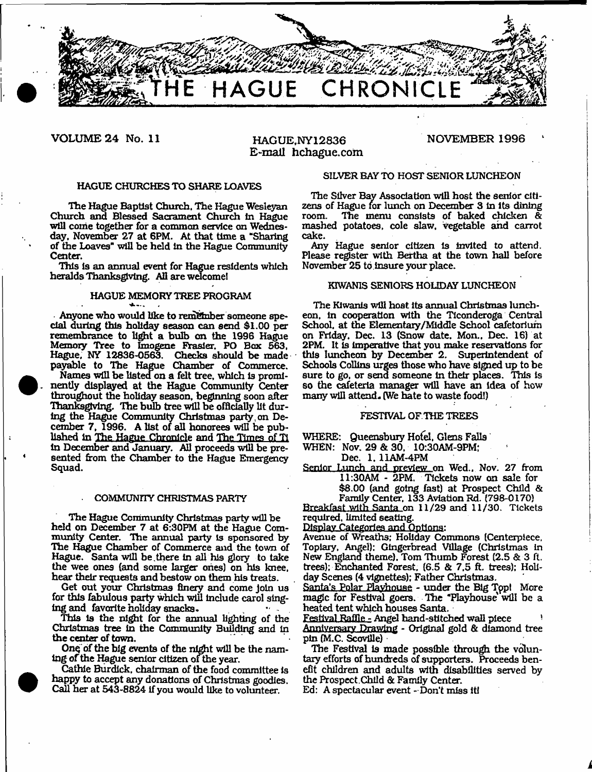

**VOLUME 24 No. 11 HAGUE,NY12836**

# **E-mail hchague.com**

#### **NOVEMBER 1996**

#### HAGUE CHURCHES TO SHARE LOAVES

The Hague Baptist Church. The Hague Wesleyan Church and Blessed Sacrament Church in Hague will come together for a common service on Wednesday, November 27 at 6PM. At that time a "Sharing of the Loaves" will be held In the Hague Community Center.

'Ibis Is an annual event for Hague residents which heralds Thanksgiving. All are wdcomel

## HAGUE MEMORY TREE PROGRAM

Anyone who would like to remember someone special during this holiday season can send \$1.00 per remembrance to light a bulb on the 1996 Hague Memory Tree to Imogene Frasier. PO Box 663, Hague, NY 12836-0563. Checks should be made payable to The Hague Chamber of Commerce. Names will be listed on a felt tree, which Is prominently displayed at the Hague Community Center throughout the holiday season, beginning soon after Thanksgiving. The bulb tree will be officially lit during the Hague Community Christmas party . on December 7, 1996. A list of all honorees will be published in The. Hague. Chronicle and The Times of Ti In December and January. All proceeds will be presented from the Chamber to the Hague Emergency Squad.

#### COMMUNITY CHRISTMAS PARTY

The Hague Community Christmas party will be held on December 7 at 6:30PM at the Hague Community Center. The annual party is sponsored by The Hague Chamber of Commerce and the town of Hague. Santa will be,there in all his glory to take the wee ones (and some larger ones) on his knee, hear their requests and bestow on them his treats.

Get out your Christmas finery and come Join us for this fabulous party which will Include carol singing and favorite holiday snacks. .

This Is the night for the annual lighting of the Christmas tree In the Community Building and In the center of town.

Onq of the big events of the night will be the naming of the Hague senior citizen of the year.

Cathie Burdick, chairman of the food committee is happy to accept any donations of Christinas goodies. Call her at 543-8824 if you would like to volunteer.

#### SILVER BAY TO HOST SENIOR LUNCHEON

The Silver Bay Association will host the senior citizens of Hague for lunch on December 3 in its dining room. The menu consists of baked chicken & mashed potatoes, cole slaw, vegetable and carrot cake.

Any Hague senior citizen is invited to attend. Please register with Bertha at the town hall before November 25 to insure your place.

#### KTWANIS SENIORS HOLIDAY LUNCHEON

The Klwants will host its annual Christmas luncheon, In cooperation with the Tlconderoga Central School, at the Elementary/Middle School cafetorium on Friday. Dec. 13 (Snow date, Mon., Dec. 16} at 2PM. It is imperative that you make reservations for this luncheon by December 2. Superintendent of Schools Collins urges those who have signed up to be sure to go, or send someone in their places. This is so the cafeteria manager will have an idea of how many will attend. (We hate to waste food!)

#### FESTIVAL OF THE TREES

WHERE: Queensbury Hofel, Glens Falls

WHEN: Nov. 29 & 30, 10:30AM-9PM;

Dec. 1. 11AM-4PM

Senior Lunch and preview on Wed.. Nov. 27 from 11:30AM - 2PM, Tickets now on sale for \$8.00 (and going fast) at Prospect Child & Family Center, 133 Aviation Rd. (798-0170)

Breakfast with Santa on 11/29 and 11/30. Tickets required, limited seating.

Display Categories and Options:

Avenue of Wreaths; Holiday Commons (Centerpiece. Topiary, Angel): Gingerbread Village (Christinas in New England theme). Tom Thumb Forest (2.5 & 3 ft. trees): Enchanted Forest, (6.5 & 7,5 ft. trees): Holiday Scenes (4 vignettes): Father Christmas.

Santa's Polar Playhouse - under the Big Tppl More magic for Festival goers. The "Playhouse will be a heated tent which houses Santa.

Festival Raffle - Angel hand-stitched wall piece Anniversary Drawing - Original gold & diamond tree pin (M.C. Scoville)

The Festival Is made possible through the voluntary efforts of hundreds of supporters. Proceeds benefit children and adults with disabilities served by the Prospect .Child & Family Center.

Ed: A spectacular event- Don't miss it!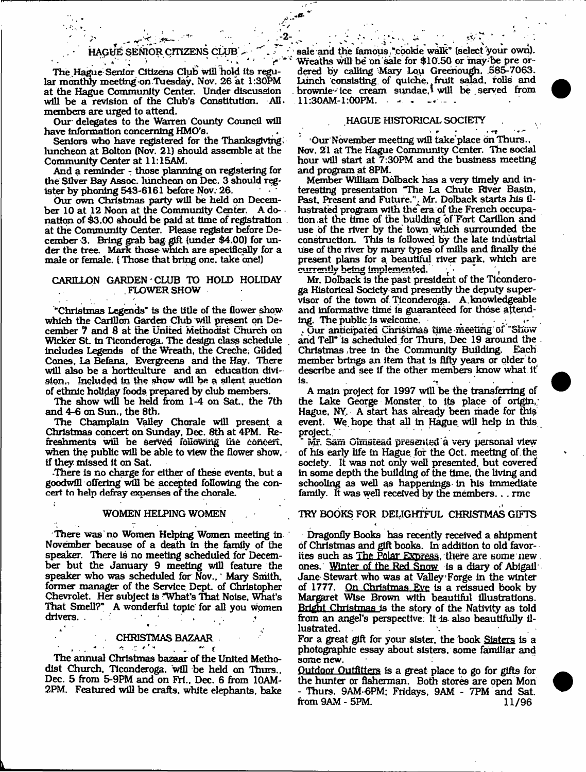## HAGUE SENIOR CITIZENS CLUB

- **2**-

 $\frac{1}{2}$  , where  $\frac{1}{2}$ 

The Hague Senior Citizens Club will hold its regular monthly meeting on Tuesday, Nov, 26 at 1:30PM at the Hague Community Center. Under discussion will be a revision of the Club's Constitution. All. members are urged to attend.

Our' delegates to the Warren County Council will have information concerning HMO's.

Seniors who have registered for the Thanksgiving. luncheon at Bolton (Nov. 21) should assemble at the Community Center at 11:15AM.

And a reminder *-* those planning on registering for the Silver Bay Assoc, luncheon on Dec. 3 should register by phoning 543-6161 before Nov. 26.

Our own Christmas party will be held on December 10 at 12 Noon at the Community Center. A do- \* nation of \$3.00 should be paid at time of registration at the Community Center. Please register before December 3. Bring grab bag gift (under \$4.00) for under the tree. Mark those which are specifically for a male or female. (Those that bring one. take one!)

#### CARILLON GARDEN CLUB TO HOLD HOLIDAY FLOWER SHOW

"Christmas Legends" is the title of the flower show which the Carillon Garden Club will present on December *7* and 8 at the United Methodist Church on Wicker St. In Ticonderoga. The design class schedule includes Legends of the Wreath, the Creche, Glided Cones, La Befana, Evergreens and the Hay. There will also be a horticulture and an education division., Included in the show will he a silent auction of ethnic holiday foods prepared by club members.

The show will be held from  $1-4$  on Sat., the 7th and 4-6 on Sun., the 8th.

The Champlain Valley Chorale will present a Christmas concert on Sunday, Dec. 8th at 4PM. Refreshments will be served foudwing the concert, when the public will be able to view the flower show,  $\cdot$ If they missed it on Sat.

.There is no charge for either of these events, but a goodwill offering will be accepted following the concert to help defray expenses of the chorale.

#### WOMEN HELPING WOMEN

There was no Women Helping Women meeting in November because of a death In the family of the speaker. There is no meeting scheduled for December but the January 9 meeting will feature the speaker who was scheduled for Nov., Mary Smith, former manager of the Service Dept, of Christopher Chevrolet. Her subject Is "What's That Noise, What's That Smell?" A wonderful topic for all you women drivers. . \* *4 W* ' 1

## **CHRISTMAS BAZAAR**

. . ^ \* \* *\** . " ^ *(* The annual Christmas bazaar of the United Methodist Church, Ticonderoga. will be held on Thurs., Dec. 5 from 5-9PM and on Fri., Dec. 6 from 10AM-2PM. Featured will be crafts, white elephants, bake

sale and the famous, "cookie walk" (select your own). Wreaths will be on sale for \$10.50 or may'be pre ordered by calling Mary Lou Greenough, 585-7063. Lunch consisting, of quiche, fruit salad, rolls and brownie-'tee cream sundae,' will be served from 11:30AM-1:00PM. - - -

#### HAGUE HISTORICAL SOCIETY

 $\mathbf{r}$  ,  $\mathbf{r}$  ,  $\mathbf{r}$  ,  $\mathbf{r}$ Our November meeting wlB take place on Thurs., Nov. 21 at The Hague Community Center. The social hour will start at 7:30PM and the business meeting and program at 8PM,

Member William Dolback has a very timely and interesting presentation "The La Chute River Basin, Past, Present and Future.", Mr. Dolback starts his illustrated program with the era of the French occupation .at the time of the building of Fort Carillon and use of the river by the town which surrounded the construction. This is followed by the late industrial use of the river by marry types of mills and finally the present plans for a beautiful river park, which are currently being implemented,

Mr. Dolback is the past president of the Ticonderoga Historical Society and presently the deputy supervisor of the town of Ticonderoga. A.knowledgeable and informative time is guaranteed for those attending. The public is welcome.

. Our anticipated Christmas time meeting of Show and Tell" is scheduled for Thurs. Dec 19 around the Christmas tree in the Community Building. Each member brings an item that Is fifty years or older to describe and see if the other members know what It is.

A main project for 1997 will be the transferring of the Lake George Monster to its place of origin,; Hague. NY. A start has already been made for this event. We hope that all In Hague will help in this project.

Mr. Sam Olinstead presented a very personal view of his early life In Hague for the Oct. meeting of the society. It was not only well presented, but covered In some depth the building of the time, the living and schooling as well as happenings in his immediate family. It was well received by the members.. . rmc

#### TRY BOOKS FOR DEUGHTFUL CHRISTMAS GIFTS

Dragonfly Books has recently received a shipment of Christmas and gift books. In addition to old favorites such as The Polar Express, there are some new ones. Winter of the Red Snow Is a diary of Abigail Jane Stewart who was at Valley Forge In the winter of 1777. On Christmas Eve is a reissued book by Margaret Wise Brown with beautiful Illustrations. Bright Christmas is the story of the Nativity as told from an angel's perspective: It is also beautifully illustrated. .

For a great gift for your sister, the book Sisters is a photographic essay about sisters, some familiar and some new.

Outdoor Outfitters Is a great place to go for gifts for the hunter or fisherman. Both stores are open Mon - Thurs. 9AM-6PM; Fridays, 9AM - 7PM and Sat. from 9AM - 5PM. 11/96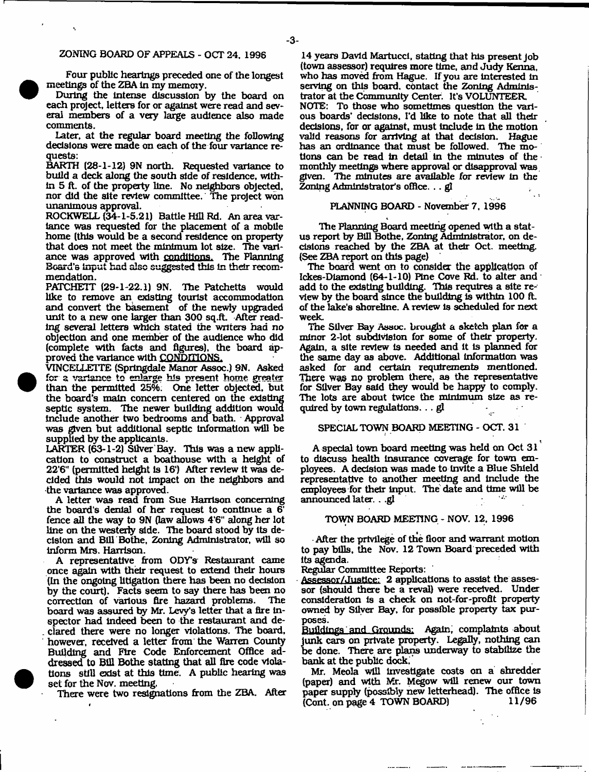#### ZONING BOARD OF APPEALS - OCT 24, 1996

Four public hearings preceded one of the longest meetings of the ZBA In my memoiy.

During the Intense discussion by the board on each project, letters for or against were read and several members of a very large audience also made comments.

Later, at the regular board meeting the following decisions were made on each of the four variance requests:

BARTH (28-1-12) 9N north. Requested variance to build a deck along the south side of residence, within 5 ft. of the property line. No neighbors objected, nor did the site review committee. The project won unanimous approval.

ROCKWELL (34-1-5.21) Battle Hill Rd. An area variance was requested for the placement of a mobile home (this would be a second residence on property that does not meet the minimum lot size. The variance was approved with conditions. The Planning Beard's input had also suggested this in their recommendation.

PATCHETT (29-1-22.1) 9N. The Patchetts would like to remove an existing tourist accommodation and convert the basement of the newly upgraded unit to a new one larger than 300 sq.ft. After reading several letters which stated the writers had no objection and one member of the audience who did (complete with tacts and figures), the board approved the variance with CONDITIONS.

VTNCELLETTE (Springdale Manor Assoc.) 9N. Asked for a variance to enlarge his present home greater than the permitted 25%. One letter objected, but the board's main concern centered on the existing septic system. The newer building addition would include another two bedrooms and bath. Approval was given but additional septic Information will be supplied by the applicants.

LARTER (63-1-2) Silver Bay. This was a new application to construct a boathouse with a height of 22'6" (permitted height is 16') After review it was decided this would not Impact on the neighbors and the variance was approved.

A letter was read from Sue Harrison concerning the board's denial of her request to continue a 6' fence all the way to 9N (law allows 4'6" along her lot line on the westerly side. The board stood by Its decision and Bill Bothe, Zoning Administrator, will so inform Mrs. Harrison.

A representative from ODY's Restaurant came once again with their request to extend their hours (In the ongoing litigation there has been no decision by the court). Facts seem to say there has been no correction of various fire hazard problems. The board was assured by Mr. Levy's letter that a fire Inspector had indeed been to the restaurant and declared there were no longer violations. The board, however, received a letter from the Warren County Building and Fire Code Enforcement Office addressed to BlU Bothe stating that all fire code violations still exist at this time. A public hearing was set for the Nov. meeting.

There were two resignations from the ZBA. After

14 years David Martuccl, stating that his present Job (town assessor) requires more time, and Judy Kenna, who has moved from Hague. If you are interested in serving on this board, contact the Zoning Administrator at the Community Center. It's VOLUNTEER NOTE: To those who sometimes question the various boards' decisions, l\*d like to note that all their decisions, for or against, must include in the motion valid reasons for arriving at that decision. Hague has an ordinance that must be followed. The motions can be read in detail in the minutes of the monthly meetings where approval or disapproval was given. The minutes are available for review in the Zoning Administrator's office. .. gl

#### PLANNING BOARD - November 7, 1996

The Planning Board meeting opened with a status report by Bill Bothe, Zoning Administrator, on decisions reached by the ZBA at their Oct. meeting (See ZBA report on this page)

The board went on to consider the application of Ickes-Diamond (64-1-10) Pine Cove Rd. to alter and add to the existing building. This requires a site review by the board since the building is within 100 ft of the lake's shoreline. A review Is scheduled for next week.

The Silver Bay Assoc, brought a sketch plan for a minor 2-lot subdivision for some of their property. Again, a site review is needed and It Is planned for the same day as above. Additional Information was asked for and certain requirements mentioned. There was no problem there, as the representative for Sliver Bay said they would be happy to comply. The lots are about twice the minimum size as required by town regulations. .. gl

### SPECIAL TOWN BOARD MEETING - OCT. 31

A special town board meeting was held on Oct 31 to discuss health Insurance coverage for town employees. A decision was made to invite a Blue Shield representative to another meeting and Include the employees for their input. The date and time will be announced later. . .gl  $\sim 10$ 

#### TOWN BOARD MEETING - NOV. 12, 1996

After the privilege of the floor and warrant motion to pay bills, the Nov. 12 Town Board preceded with Its agenda.

Regular Committee Reports:

Assessor/Justice: 2 applications to assist the assessor (should there be a reval) were received. Under consideration is a check on not-for-profit property owned by Silver Bay, for possible property tax purposes.

ftulldings and Grounds: Again, complaints about junk cars on private property. Legally, nothing can be done. There are plans underway to stabilize the bank at the public dock.

Mr. Meola will investigate costs on a shredder (paper) and with Mr. Megow will renew our town paper supply (possibly new letterhead). The office is (Cont. on page 4 TOWN BOARD) 11/96

- **3**-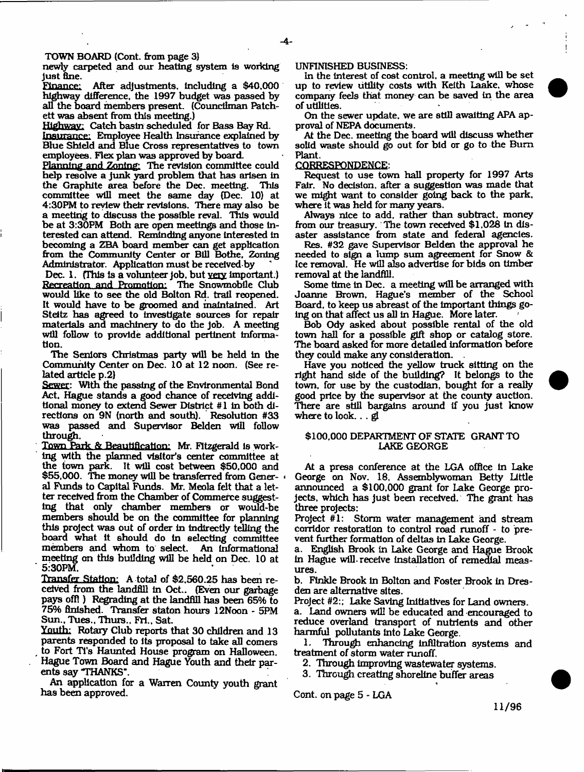TOWN BOARD (Cont. from page 3)

newly carpeted and our heating system is working

just fine.<br>Finance: After adjustments, including a \$40,000 highway difference, the 1997 budget was passed by all the board inembers present. (Councilman Patchett was absent from this meeting.)

Highway: Catch basin scheduled for Bass Bay Rd.

Insurance: Employee Health Insurance explained by Blue Shield and Blue Cross representatives to town employees. Flex plan was approved by board.

Planning and Zoning: The revision committee could help resolve a junk yard problem that has arisen in the Graphite area before the Dec. meeting. committee will meet the same day (Dec. 10) at 4:30PM to review their revisions. There may also be a meeting to discuss the possible reval. This would be at 3:30PM Both are open meetings and those Interested can attend. Reminding anyone interested in becoming a ZBA board member can get application from the Community Center or Bill Bothe. Zoning Administrator. Application must be recelved by

Dec. 1. (This is a volunteer  $[<sub>1</sub>]$  but very important.) Recreation and Promotion: The Snowmobile Club would like to see the old Bolton Rd. trail reopened. It would have to be groomed and maintained. Art Steitz has agreed to investigate sources for repair materials and machinery to do the Job. A meeting will follow to provide additional pertinent information.

The Seniors Christmas party will be held in the Community Center on Dec. 10 at 12 noon. (See related article p.2)

Sewer: With the passing of the Environmental Bond Act. Hague stands a good chance of receiving additional money to extend Sewer District #1 in both directions on 9N (north and south). Resolution #33 was passed and Supervisor Belden will follow through.

Town Park & Beautification: Mr. Fitzgerald Is working with the planned visitor's center committee at the town park. It will cost between \$50,000 and \$55,000. The money will be transferred from General Funds to Capital Funds. Mr. Meola felt that a letter received from the Chamber of Commerce suggesting that only chamber members or would-be members should be on the committee for planning this project was out of order in indirectly telling the board what it should do In selecting committee members and whom to select. An Informational meeting on this building will be held on Dec. 10 at 5:30PM.

Transfer Station: A total of \$2,560.25 has been received from the landfill in Oct.. (Even our garbage pays off)) Regrading at the landfill has been 65% to 75% finished. Transfer staton hours 12Noon - 5PM Sun., Tues., Thurs., Frl., Sat.

Youth: Rotary Club reports that 30 children and 13 parents responded to its proposal to take all comers to Fort TTs Haunted House program on Halloween. Hague Town Board and Hague Youth and their parents say THANKS".

An application for a Warren County youth grant has been approved.

#### UNFINISHED BUSINESS:

In the interest of cost control, a meeting will be set up to review utility costs with Keith Laake. whose company feels that money can be saved in the area of utilities.

On the sewer update, we are still awaiting APA approval of NEPA documents.

At the Dec. meeting the board will discuss whether solid waste should go out for bid or go to the Bum Plant.

#### CORRESPONDENCE:

Request to use town hall property for 1997 Arts Fair. No decision, after a suggestion was made that we might want to consider going back to the park, where it was held for many years.

Always nice to add, rather than subtract, money from our treasury. The town received \$1,028 in disaster assistance from state and federal agencies.

Res. #32 gave Supervisor Belden the approval he needed to sign a lump sum agreement for Snow & Ice removal. He will also advertise for bids on timber removal at the landfill.

Some time in Dec. a meeting will be arranged with Joanne Brown, Hague's member of the School Board, to keep us abreast of the Important things going on that affect us all in Hague. More later.

Bob Ody asked about possible rental of the old town hall for a possible gift shop or catalog store. The board asked for more detailed information before they could make any consideration. .

Have you noticed the yellow truck sitting on the right hand side of the building? It belongs to the town, for use by the custodian, bought for a really good price by the supervisor at the county auction. There are still bargains around if you just know where to look.... gi

#### \$100,000 DEPARTMENT OF STATE GRANT TO LAKE GEORGE

At a press conference at the LGA office in Lake George on Nov. 18, Assemblywoman Betty little announced a \$100,000 grant for Lake George projects. which has just been received. The grant has three projects:

Project #1: Storm water management and stream corridor restoration to control road runoff - to prevent further formation of deltas in Lake George.

a. English Brook in Lake George and Hague Brook in Hague will receive installation of remedial measures.

b. Ftnkle Brook in Bolton and Foster Brook in Dresden are alternative sites.

Project #2:; Lake Saving Initiatives for Land owners,

a. Land owners will be educated and encouraged to reduce overland transport of nutrients and other harmful pollutants into Lake George.

1. Through enhancing infiltration systems and treatment of storm water runoff.

2. Through improving wastewater systems.

3. Through creating shoreline buffer areas \*

Cont. on page 5 - LGA

**11/96**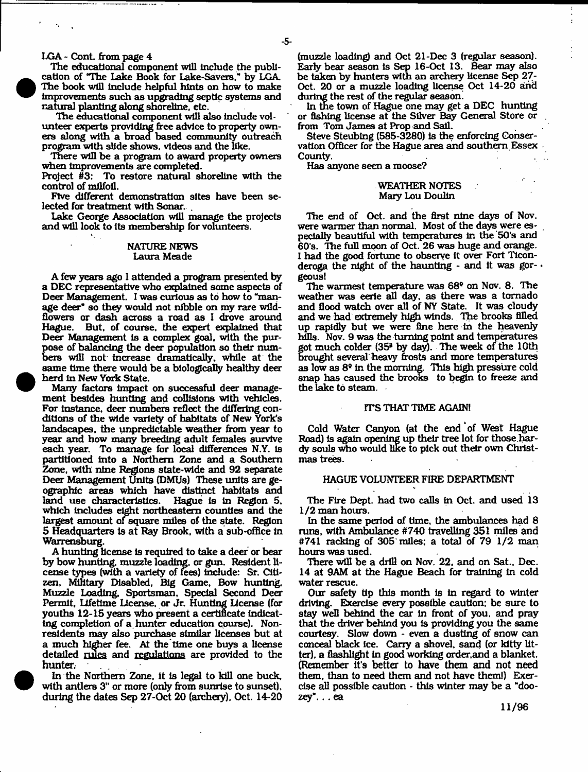LGA - Cont. from page 4

The educational component will Include the publication of "The lake Book for Lake-Savers." by LGA. The book will Include helpful hints on how to make Improvements such as upgrading septic systems and natural planting along shoreline, etc.

The educational component will also include volunteer experts providing free advice to properly owners along with a broad based community outreach program with slide shows, videos and the like.

There will be a program to award property owners when Improvements are completed.

Project #3: To restore natural shoreline with the control of milfoil.

Five different demonstration sites have been selected for treatment with Sonar.

Lake George Association will manage the projects and will look to its membership for volunteers.

#### NATURE NEWS Laura Meade

A few years ago 1 attended a program presented by a DEC representative who explained some aspects of Deer Management. I was curious as to how to "manage deer" so they would not nibble on my rare wlldflowers or dash across a road as I drove around Hague. But, of course, the expert explained that Deer Management Is a complex goal, with the purpose of balancing the deer population so their numbers will not increase dramatically, while at the same time there would be a biologically healthy deer herd In New York State.

Many factors Impact on successful deer management besides hunting and collisions with vehicles. For instance, deer numbers reflect the differing conditions of the wide variety of habitats of New York's landscapes, the unpredictable weather from year to year and how many breeding adult females survive each year. To manage for local differences N.Y. Is partitioned into a Northern Zone and a Southern Zone, with nine Regions state-wide and 92 separate Deer Management Units (DMUs) These units are geographic areas which have distinct habitats and land use characteristics. Hague Is In Region 5. which includes eight northeastern counties and the largest amount of square miles of the state. Region 5 Headquarters Is at Ray Brook, with a sub-office In Warrensburg.

A hunting license Is required to take a deer or bear by bow hunting, muzzle loading, or gun. Resident license types (with a variety of fees) include: Sr. Citizen, Military Disabled, Big Game, Bow hunting, Muzzle Loading, Sportsman, Special Second Deer Permit, Lifetime license, or Jr. Hunting license (for youths 12-15 years who present a certificate indicating completion of a hunter education course). Nonresidents may also purchase similar licenses but at a much higher fee. At the time one buys a license detailed rules and regulations are provided to the hunter.

In the Northern Zone, it Is legal to kill one buck, with antlers 3" or more (only from sunrise to sunset), during the dates Sep 27-Oct 20 (archery), Oct. 14-20

(muzzle loading) and Oct 21-Dec 3 (regular season). Early bear season Is Sep 16-Oct 13. Bear may also be taken by hunters with an archery license Sep 27- Oct. 20 or a muzzle loading license Oct 14-20 and during the rest of the regular season.

In the town of Hague one may get a DEC hunting or fishing license at the Silver Bay General Store or from Tom James at Prop and Sail.

Steve Steublng (585-3280) Is the enforcing Conservation Officer for the Hague area and southern Essex County.

Has anyone seen a moose?

#### WEATHER NOTES Mazy Lou Doulin

The end of Oct. and the first nine days of Nov. were warmer than normal. Most of the days were especially beautiful with temperatures In the 50's and 60's. The full moon of Oct. 26 was huge and orange. I had the good fortune to observe It over Fort Ticonderoga the night of the haunting - and it was gor- $\cdot$ geous!

The warmest temperature was 68® on Nov. 8. The weather was eerie all day, as there was a tornado and flood watch over all of NY State. It was cloudy and we had extremely high winds. The brooks filled up rapidly but we were fine here in the heavenly hills. Nov. 9 was the turning point and temperatures got much colder (35\* by day). The week of the 10th Drought several heavy frosts and more temperatures as low as 8® in the morning. This high pressure cold snap has caused the brooks to begin to freeze and the lake to steam.

#### IT'S THAT TIME AGAIN!

Cold Water Canyon (at the end of West Hague Road) Is again opening up their tree lot for those .hardy souls who would like to pick out their own Christmas trees.

#### HAGUE VOLUNTEER FIRE DEPARTMENT

The Fire Dept. had two calls in Oct. and used 13 1/2 man hours.

In the same period of time, the ambulances had 8 runs, with Ambulance #740 travelling 351 miles and #741 racking of 305 miles: a total of 79 1/2 man hours was used.

There will be a drill on Nov. 22. and on Sat.. Dec. 14 at 9AM at the Hague Beach for training in cold water rescue.

Our safety tip this month is In regard to winter driving. Exercise every possible caution: be sure to stay well behind the car in front of you, and pray that the driver behind you is providing you the same courtesy. Slow down - even a dusting of snow can conceal black ice. Carry a shovel, sand (or kitty litter), a flashlight In good working order,and a blanket. (Remember it's better to have them and not need them, than to need them and not have them!) Exercise all possible caution - this winter may be a "doozey"... ea

**11/96**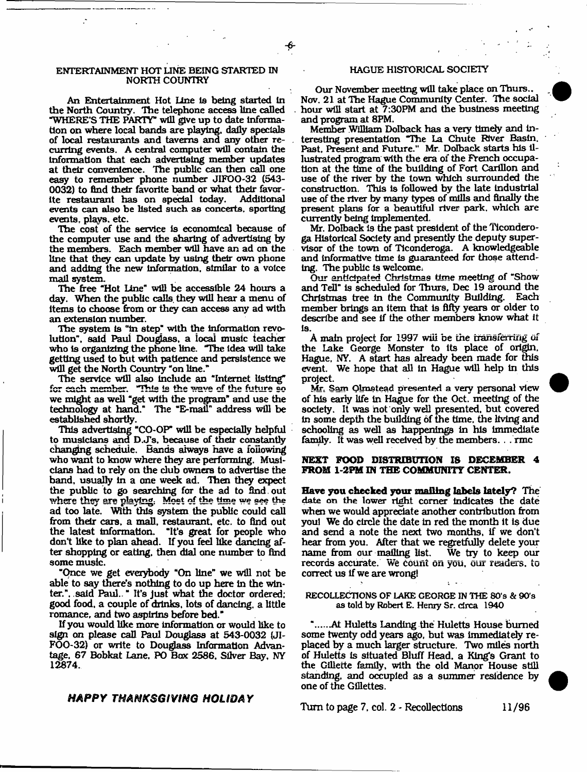#### ENTERTAINMENT HOT LINE BEING STARTED IN NORTH COUNTRY

An Entertainment Hot Line Is being started In the North Country. The telephone access line called "WHERE'S THE PARTY" will give up to date Information on where local bands are playing, dally specials of local restaurants and taverns and any other recurrlng events. A central computer will contain the Information that each advertising member updates at their convenience. The public can then call one easy to remember phone number JIFOO-32 (543- 0032) to find their favorite band or what their favor-<br>ite restaurant has on special today. Additional ite restaurant has on special today. events can also be listed such as concerts, sporting events, plays, etc.

The cost of the service is economical because of the computer use and the sharing of advertising by the members. Each member will have an ad on the line that they can update by using their own phone and adding the new Information, similar to a voice mall system.

The free "Hot line" will be accessible 24 hours a day. When the public calls, they will hear a menu of items to choose from or they can access any ad with an extension number.

The system is "in step" with the information revolution", said Paul Douglass, a local music teacher who is organizing the phone line. "The idea will take getting used to but with patience and persistence we will get the North Country "on line."

The service will also Include an "Internet listing" for each member. This is the wave of the future so we might as well "get with the program\* and use the technology at hand." The "E-mail" address will be established shortly.

This advertising "CO-OP will be especially helpful to musicians and D.JTs. because of their constantly changing schedule. Bands always have a following who want to know where they are performing. Musicians had to rely on the dub owners to advertise the band, usually In a one week ad. Then they expect the public to go searching for the ad to find , out where they are playing. Most of the time we see the ad too late. With this system the public could call from their cars, a mall, restaurant, etc. to find out the latest Information. "It's great for people who don't like to plan ahead. If you feel like dancing after shopping or eating, then dial one number to find some music.

"Qnce we get everybody "On line" we will not be able to say there's nothing to do up here in the winter.". said Paul.. " It's Just what the doctor ordered; good food, a couple of drinks, lots of dancing, a little romance, and two aspirins before bed."

If you would like more information or would like to sign on please call Paul Douglass at 543-0032 (JI-FOO-32) or write to Douglass Information Advantage, 67 Bobkat Lane, PO Box 2566. Silver Bay, NY 12874.

### *HAPPY THANKSGIVING HOLIDAY*

#### HAGUE HISTORICAL SOCIETY

Our November meeting will take place on Thurs.. Nov. 21 at The Hague Community Center. The social hour will start at 7:30PM and the business meeting and program at 8PM.

Member William Dolback has a very timely and interesting presentation "Hie La Chute River Basin. Past, Present and Future." Mr. Dolback starts his illustrated program with the era of the French occupation at the time of the building of Fort Carillon and use of the river by the town which surrounded the construction. This is followed by the late industrial use of the river by many types of mills and finally the present plans for a beautiful river park, which are currently being implemented.

Mr. Dolback is the past president of the Ticonderoga Historical Society and presently the deputy supervisor of the town of Ticonderoga. A knowledgeable and informative time is guaranteed for those attending. The public Is welcome;

Our anticipated Christmas time meeting of "Show and Tell" is scheduled for Thurs, Dec 19 around the Christmas tree in the Community Building. Each member brings an item that is fifty years or older to describe and see If the other members know what It Is.

A main project far **1S97** will be the **transferring of** the Lake George Monster to its place of origin. Hague, NY. A start has already been made for this event. We hope that all In Hague will help In this project.

Mr, Sam Olmstead presented a very personal view of his early life In Hague for the Oct. meeting of the society. It was not only well presented, but covered in some depth the building of the time, the living and schooling as well as happenings in his immediate family. It was well received by the members. . . rmc

#### **NEXT FOOD DISTRIBUTION IS DECEMBER 4 FROM 1-2PM IN THE COMMUNITY CENTER.**

**Have you checked your mailing labels lately?** The date on the lower right corner indicates the date when we would appreciate another contribution from youl We do circle the date in red the month it is due and send a note the next two months, if we don't hear from you. After that we regretfully delete your name from our mailing list. records accurate. We count on you, our readers, to correct us If we are wrong!

RECOLLECTIONS OF LAKE GEORGE IN THE 80's & 90's as told by Robert E. Henry Sr. circa 1940

"......At Huletts Landing the Huletts House burned some twenty odd years ago, hut was immediately replaced by a much larger structure. Two miles north of Huletts Is situated Bluff Head, a King's Grant to the Gillette family, with the old Manor House still standing, and occupied as a summer residence by one of the Gillettes.

Turn to page 7, col. 2 - Recollections 11/96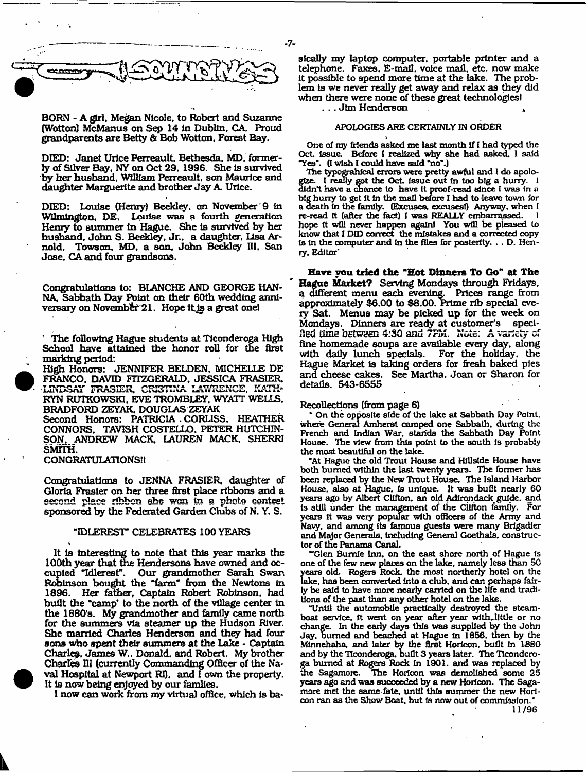

BORN - A gfrl. Megan Nicole, to Robert and Suzanne (Wotton) McManus on Sep 14 In Dublin, CA. Proud grandparents are Betty & Bob Wotton, Forest Bay.

DIED: Janet Urice Perreault, Bethesda, MD, formerly of Silver Bay, NY on Oct 29. 1996. She Is survived by her husband, William Perreault, son Maurice and daughter Marguerite and brother Jay A. Urlce.

DIED: Louise (Henry) Beekley. an November'9 In Wilmington, **DE, Louise was a fourth generation** Henry to summer in Hague. She is survived by her husband. John S. Beekley, Jr.. a daughter, Lisa Arnold, Towson, MD, a son, John Beekley III, San Jose. CA and four grandsons.

Congratulations to: BLANCHE AND GEORGE HAN-NA, Sabbath Day Point on their 60th wedding anniversary on November 21. Hope it is a great onel

1 The following Hague students at Ticonderoga High School have attained the honor roll for the first marking period:

High Honors: JENNIFER BELDEN. MICHELLE DE FRANCO, DAVID FITZGERALD. JESSICA FRASIER, LINDSAY FRASIER, CRISTINA LAWRENCE, KATH-KYN RUTKOWSKI, EVE TROMBLEY, WYATT WELLS. BRADFORD ZEYAK, DOUGLAS ZEYAK

Second Honors: PATRICIA . CORUSS, HEATHER CONNORS. TAVTSH COSTELLO. PETER HUTCHIN-SON. ANDREW MACK, LAUREN MACK. SHERRI SMITH.

CONGRATULATIONS!!

Congratulations to JENNA FRASIER, daughter of Gloria Frasier on her three first place ribbons and a second place ribbon she won in a photo contest sponsored by the Federated Garden Clubs of N. Y. S.

#### "IDLEREST\* CELEBRATES 100 YEARS

It is interesting to note that this year marks the 100th year that the Hendersons have owned and occupied Tdlerest". Our grandmother Sarah Swan Robinson bought the "farm" from the Newtons in 1896. Her father. Captain Robert Robinson, had built the "camp\* to the north of the village center In the 1880's. My grandmother and family came north for the summers via steamer up the Hudson River. She married Charles Henderson and they had four sons who spent their summers at the Lake - Captain Charley. James W.. Donald, and Robert. My brother Charles III (currently Commanding Officer of the Naval Hospital at Newport RI). and I own the property. It is now being enjoyed by our famlies.

I now can work from my virtual office, which Is ba-

sically my laptop computer, portable printer and a telephone. Faxes, E-mail, voice mall, etc. now make It possible to spend more time at the lake. The problem Is we never really get away and relax as they did when there were none of these great technologies!

. . . Jim Henderson \*

#### APOLOGIES ARE CERTAINLY IN ORDER

I One of my friends asked me last month If I had typed the Oct issue. Before I realized why she had asked. I said "Yes". (I wish I could have said "no".)

The typograhlcal errors were pretty awful and 1 do apologize. I really got the Oct. Issue out in too big a hurry. 1 didn't have a chance to have It proof-read since I was In a big hurry to get It In the mall before I had to leave town for a death in the family. (Excuses, excuses!) Anyway, when I re-read it (after the fact) I was REALLY embarrassed. hope It will never happen again! You will be pleased to know that I DID correct the mistakes and a corrected copy Is In the computer and In the files for posterity. . . D. Henry, Editor'

**Have you tried the "Hot Dinners To Go" at The Hague Market?** Serving Mondays through Fridays, a different menu each evening. Prices range from approximately \$6.00 to \$8.00. Prime rib special every Sat. Menus may be picked up for the week on Mondays. Dinners are ready at customer's specified time *between* 4:30 and 7FM, Note: A variety of fine homemade soups are available every day, along<br>with daily lunch specials. For the holiday, the with daily lunch specials. Hague Market Is taking orders for fresh baked pies and cheese cakes. See Martha. Joan or Sharon for details. 543-6555

#### Recollections (from page 6)

On the opposite side of the lake at Sabbath Day Point, where General Amherst camped one Sabbath, during the French and Indian War. stands the Sabbath Day Point House. The view from this point to the south Is probably the most beautiful on the lake.

"At Hague the old Trout House and Hillside House have both burned within the last twenty years. The former has been replaced by the New Trout House. The Island Harbor House, also at Hague, is unique. It was built nearly 60 years ago by Albert CUfton. an old Adirondack guide, and Is still under the management of the Clifton family. For years it was very popular with officers of the Army and Navy, and among its famous guests were many Brigadier and Major Generals. Including General Goethals. constructor of the Panama Canal.

"Glen Bumie Inn, on the east shore north of Hague Is one of the few new places on the lake, namely less than SO years old. Rogers Rock, the most northerly hotel on the lake, has been converted Into a club, and can perhaps fairly be said to have more nearly carried on the life and traditions of the past than any other hotel on the lake.

"Until the automobile practically destroyed the steamboat service. It went on year after year with,little or no change. In the early days this was supplied by the John Jay, burned and beached at Hague In 1856. then by the Minnehaha, and later by the first Horicon, built in 1880 and by the Ticonderoga, built 3 years later. The Tlconderoga burned at Rogers Rode in 1901. and was replaced by the Sagamore. The Horicon was demolished some 25 years ago and was succeeded by a new Horicon. The Sagamore met the same fate, until this summer the new Horicon ran as the Show Boat, but Is now out of commission."

11/96